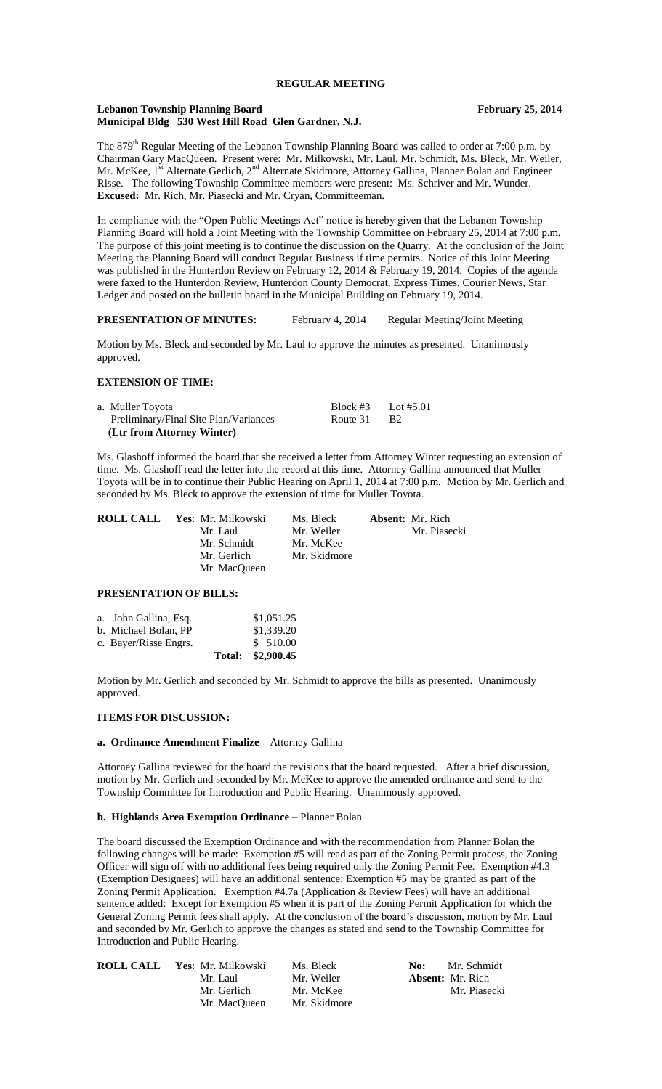### **Lebanon Township Planning Board February 25, 2014 Municipal Bldg 530 West Hill Road Glen Gardner, N.J.**

The 879<sup>th</sup> Regular Meeting of the Lebanon Township Planning Board was called to order at 7:00 p.m. by Chairman Gary MacQueen. Present were: Mr. Milkowski, Mr. Laul, Mr. Schmidt, Ms. Bleck, Mr. Weiler, Mr. McKee, 1<sup>st</sup> Alternate Gerlich, 2<sup>nd</sup> Alternate Skidmore, Attorney Gallina, Planner Bolan and Engineer Risse. The following Township Committee members were present: Ms. Schriver and Mr. Wunder.

**Excused:** Mr. Rich, Mr. Piasecki and Mr. Cryan, Committeeman.

In compliance with the "Open Public Meetings Act" notice is hereby given that the Lebanon Township Planning Board will hold a Joint Meeting with the Township Committee on February 25, 2014 at 7:00 p.m. The purpose of this joint meeting is to continue the discussion on the Quarry. At the conclusion of the Joint Meeting the Planning Board will conduct Regular Business if time permits. Notice of this Joint Meeting was published in the Hunterdon Review on February 12, 2014 & February 19, 2014. Copies of the agenda were faxed to the Hunterdon Review, Hunterdon County Democrat, Express Times, Courier News, Star Ledger and posted on the bulletin board in the Municipal Building on February 19, 2014.

## **PRESENTATION OF MINUTES:** February 4, 2014 Regular Meeting/Joint Meeting

Motion by Ms. Bleck and seconded by Mr. Laul to approve the minutes as presented. Unanimously approved.

## **EXTENSION OF TIME:**

| a. Muller Toyota                      | Block #3 Lot #5.01 |  |
|---------------------------------------|--------------------|--|
| Preliminary/Final Site Plan/Variances | Route 31 B2        |  |
| (Ltr from Attorney Winter)            |                    |  |

Ms. Glashoff informed the board that she received a letter from Attorney Winter requesting an extension of time. Ms. Glashoff read the letter into the record at this time. Attorney Gallina announced that Muller Toyota will be in to continue their Public Hearing on April 1, 2014 at 7:00 p.m. Motion by Mr. Gerlich and seconded by Ms. Bleck to approve the extension of time for Muller Toyota.

| <b>ROLL CALL Yes: Mr. Milkowski</b> | Ms. Bleck    | <b>Absent:</b> Mr. Rich |
|-------------------------------------|--------------|-------------------------|
| Mr. Laul                            | Mr. Weiler   | Mr. Piasecki            |
| Mr. Schmidt                         | Mr. McKee    |                         |
| Mr. Gerlich                         | Mr. Skidmore |                         |
| Mr. MacQueen                        |              |                         |

## **PRESENTATION OF BILLS:**

|                       | Total: \$2,900.45 |
|-----------------------|-------------------|
| c. Bayer/Risse Engrs. | \$510.00          |
| b. Michael Bolan, PP  | \$1,339.20        |
| a. John Gallina, Esq. | \$1,051.25        |

Motion by Mr. Gerlich and seconded by Mr. Schmidt to approve the bills as presented. Unanimously approved.

### **ITEMS FOR DISCUSSION:**

## **a. Ordinance Amendment Finalize** – Attorney Gallina

Attorney Gallina reviewed for the board the revisions that the board requested. After a brief discussion, motion by Mr. Gerlich and seconded by Mr. McKee to approve the amended ordinance and send to the Township Committee for Introduction and Public Hearing. Unanimously approved.

## **b. Highlands Area Exemption Ordinance** – Planner Bolan

The board discussed the Exemption Ordinance and with the recommendation from Planner Bolan the following changes will be made: Exemption #5 will read as part of the Zoning Permit process, the Zoning Officer will sign off with no additional fees being required only the Zoning Permit Fee. Exemption #4.3 (Exemption Designees) will have an additional sentence: Exemption #5 may be granted as part of the Zoning Permit Application. Exemption #4.7a (Application & Review Fees) will have an additional sentence added: Except for Exemption #5 when it is part of the Zoning Permit Application for which the General Zoning Permit fees shall apply. At the conclusion of the board's discussion, motion by Mr. Laul and seconded by Mr. Gerlich to approve the changes as stated and send to the Township Committee for Introduction and Public Hearing.

| ROLL CALL | Yes: Mr. Milkowski | Ms. Bleck    | Mr. Schmidt<br>No:      |
|-----------|--------------------|--------------|-------------------------|
|           | Mr. Laul           | Mr. Weiler   | <b>Absent:</b> Mr. Rich |
|           | Mr. Gerlich        | Mr. McKee    | Mr. Piasecki            |
|           | Mr. MacOueen       | Mr. Skidmore |                         |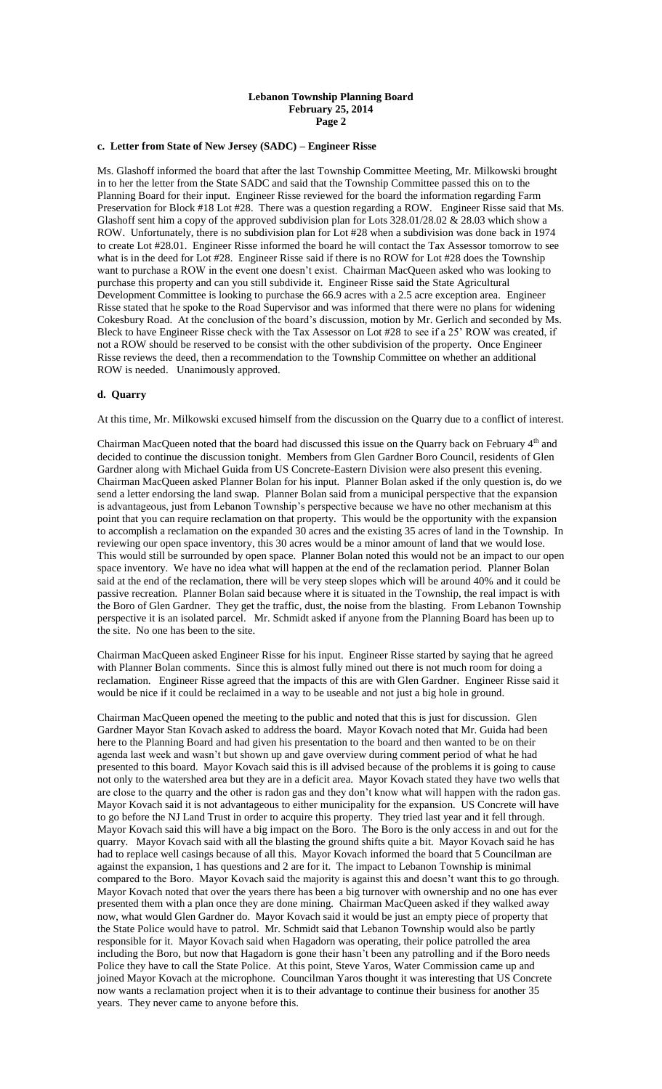# **c. Letter from State of New Jersey (SADC) – Engineer Risse**

Ms. Glashoff informed the board that after the last Township Committee Meeting, Mr. Milkowski brought in to her the letter from the State SADC and said that the Township Committee passed this on to the Planning Board for their input. Engineer Risse reviewed for the board the information regarding Farm Preservation for Block #18 Lot #28. There was a question regarding a ROW. Engineer Risse said that Ms. Glashoff sent him a copy of the approved subdivision plan for Lots 328.01/28.02 & 28.03 which show a ROW. Unfortunately, there is no subdivision plan for Lot #28 when a subdivision was done back in 1974 to create Lot #28.01. Engineer Risse informed the board he will contact the Tax Assessor tomorrow to see what is in the deed for Lot #28. Engineer Risse said if there is no ROW for Lot #28 does the Township want to purchase a ROW in the event one doesn't exist. Chairman MacQueen asked who was looking to purchase this property and can you still subdivide it. Engineer Risse said the State Agricultural Development Committee is looking to purchase the 66.9 acres with a 2.5 acre exception area. Engineer Risse stated that he spoke to the Road Supervisor and was informed that there were no plans for widening Cokesbury Road. At the conclusion of the board's discussion, motion by Mr. Gerlich and seconded by Ms. Bleck to have Engineer Risse check with the Tax Assessor on Lot #28 to see if a 25' ROW was created, if not a ROW should be reserved to be consist with the other subdivision of the property. Once Engineer Risse reviews the deed, then a recommendation to the Township Committee on whether an additional ROW is needed. Unanimously approved.

#### **d. Quarry**

At this time, Mr. Milkowski excused himself from the discussion on the Quarry due to a conflict of interest.

Chairman MacQueen noted that the board had discussed this issue on the Quarry back on February  $4<sup>th</sup>$  and decided to continue the discussion tonight. Members from Glen Gardner Boro Council, residents of Glen Gardner along with Michael Guida from US Concrete-Eastern Division were also present this evening. Chairman MacQueen asked Planner Bolan for his input. Planner Bolan asked if the only question is, do we send a letter endorsing the land swap. Planner Bolan said from a municipal perspective that the expansion is advantageous, just from Lebanon Township's perspective because we have no other mechanism at this point that you can require reclamation on that property. This would be the opportunity with the expansion to accomplish a reclamation on the expanded 30 acres and the existing 35 acres of land in the Township. In reviewing our open space inventory, this 30 acres would be a minor amount of land that we would lose. This would still be surrounded by open space. Planner Bolan noted this would not be an impact to our open space inventory. We have no idea what will happen at the end of the reclamation period. Planner Bolan said at the end of the reclamation, there will be very steep slopes which will be around 40% and it could be passive recreation. Planner Bolan said because where it is situated in the Township, the real impact is with the Boro of Glen Gardner. They get the traffic, dust, the noise from the blasting. From Lebanon Township perspective it is an isolated parcel. Mr. Schmidt asked if anyone from the Planning Board has been up to the site. No one has been to the site.

Chairman MacQueen asked Engineer Risse for his input. Engineer Risse started by saying that he agreed with Planner Bolan comments. Since this is almost fully mined out there is not much room for doing a reclamation. Engineer Risse agreed that the impacts of this are with Glen Gardner. Engineer Risse said it would be nice if it could be reclaimed in a way to be useable and not just a big hole in ground.

Chairman MacQueen opened the meeting to the public and noted that this is just for discussion. Glen Gardner Mayor Stan Kovach asked to address the board. Mayor Kovach noted that Mr. Guida had been here to the Planning Board and had given his presentation to the board and then wanted to be on their agenda last week and wasn't but shown up and gave overview during comment period of what he had presented to this board. Mayor Kovach said this is ill advised because of the problems it is going to cause not only to the watershed area but they are in a deficit area. Mayor Kovach stated they have two wells that are close to the quarry and the other is radon gas and they don't know what will happen with the radon gas. Mayor Kovach said it is not advantageous to either municipality for the expansion. US Concrete will have to go before the NJ Land Trust in order to acquire this property. They tried last year and it fell through. Mayor Kovach said this will have a big impact on the Boro. The Boro is the only access in and out for the quarry. Mayor Kovach said with all the blasting the ground shifts quite a bit. Mayor Kovach said he has had to replace well casings because of all this. Mayor Kovach informed the board that 5 Councilman are against the expansion, 1 has questions and 2 are for it. The impact to Lebanon Township is minimal compared to the Boro. Mayor Kovach said the majority is against this and doesn't want this to go through. Mayor Kovach noted that over the years there has been a big turnover with ownership and no one has ever presented them with a plan once they are done mining. Chairman MacQueen asked if they walked away now, what would Glen Gardner do. Mayor Kovach said it would be just an empty piece of property that the State Police would have to patrol. Mr. Schmidt said that Lebanon Township would also be partly responsible for it. Mayor Kovach said when Hagadorn was operating, their police patrolled the area including the Boro, but now that Hagadorn is gone their hasn't been any patrolling and if the Boro needs Police they have to call the State Police. At this point, Steve Yaros, Water Commission came up and joined Mayor Kovach at the microphone. Councilman Yaros thought it was interesting that US Concrete now wants a reclamation project when it is to their advantage to continue their business for another 35 years. They never came to anyone before this.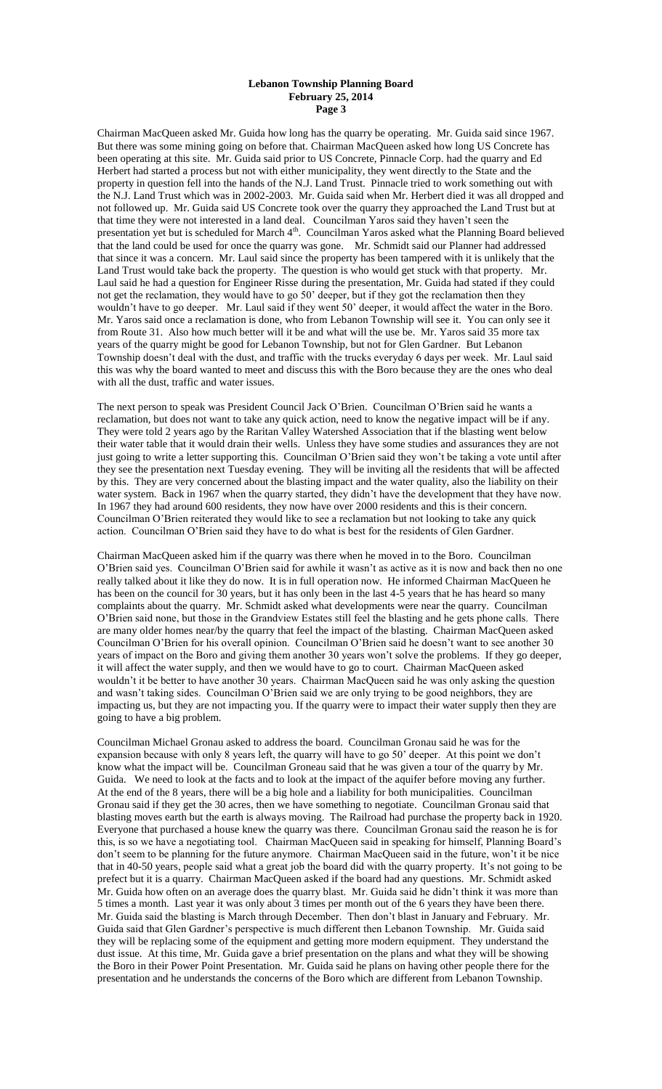Chairman MacQueen asked Mr. Guida how long has the quarry be operating. Mr. Guida said since 1967. But there was some mining going on before that. Chairman MacQueen asked how long US Concrete has been operating at this site. Mr. Guida said prior to US Concrete, Pinnacle Corp. had the quarry and Ed Herbert had started a process but not with either municipality, they went directly to the State and the property in question fell into the hands of the N.J. Land Trust. Pinnacle tried to work something out with the N.J. Land Trust which was in 2002-2003. Mr. Guida said when Mr. Herbert died it was all dropped and not followed up. Mr. Guida said US Concrete took over the quarry they approached the Land Trust but at that time they were not interested in a land deal. Councilman Yaros said they haven't seen the presentation yet but is scheduled for March 4<sup>th</sup>. Councilman Yaros asked what the Planning Board believed that the land could be used for once the quarry was gone. Mr. Schmidt said our Planner had addressed that since it was a concern. Mr. Laul said since the property has been tampered with it is unlikely that the Land Trust would take back the property. The question is who would get stuck with that property. Mr. Laul said he had a question for Engineer Risse during the presentation, Mr. Guida had stated if they could not get the reclamation, they would have to go 50' deeper, but if they got the reclamation then they wouldn't have to go deeper. Mr. Laul said if they went 50' deeper, it would affect the water in the Boro. Mr. Yaros said once a reclamation is done, who from Lebanon Township will see it. You can only see it from Route 31. Also how much better will it be and what will the use be. Mr. Yaros said 35 more tax years of the quarry might be good for Lebanon Township, but not for Glen Gardner. But Lebanon Township doesn't deal with the dust, and traffic with the trucks everyday 6 days per week. Mr. Laul said this was why the board wanted to meet and discuss this with the Boro because they are the ones who deal with all the dust, traffic and water issues.

The next person to speak was President Council Jack O'Brien. Councilman O'Brien said he wants a reclamation, but does not want to take any quick action, need to know the negative impact will be if any. They were told 2 years ago by the Raritan Valley Watershed Association that if the blasting went below their water table that it would drain their wells. Unless they have some studies and assurances they are not just going to write a letter supporting this. Councilman O'Brien said they won't be taking a vote until after they see the presentation next Tuesday evening. They will be inviting all the residents that will be affected by this. They are very concerned about the blasting impact and the water quality, also the liability on their water system. Back in 1967 when the quarry started, they didn't have the development that they have now. In 1967 they had around 600 residents, they now have over 2000 residents and this is their concern. Councilman O'Brien reiterated they would like to see a reclamation but not looking to take any quick action. Councilman O'Brien said they have to do what is best for the residents of Glen Gardner.

Chairman MacQueen asked him if the quarry was there when he moved in to the Boro. Councilman O'Brien said yes. Councilman O'Brien said for awhile it wasn't as active as it is now and back then no one really talked about it like they do now. It is in full operation now. He informed Chairman MacQueen he has been on the council for 30 years, but it has only been in the last 4-5 years that he has heard so many complaints about the quarry. Mr. Schmidt asked what developments were near the quarry. Councilman O'Brien said none, but those in the Grandview Estates still feel the blasting and he gets phone calls. There are many older homes near/by the quarry that feel the impact of the blasting. Chairman MacQueen asked Councilman O'Brien for his overall opinion. Councilman O'Brien said he doesn't want to see another 30 years of impact on the Boro and giving them another 30 years won't solve the problems. If they go deeper, it will affect the water supply, and then we would have to go to court. Chairman MacQueen asked wouldn't it be better to have another 30 years. Chairman MacQueen said he was only asking the question and wasn't taking sides. Councilman O'Brien said we are only trying to be good neighbors, they are impacting us, but they are not impacting you. If the quarry were to impact their water supply then they are going to have a big problem.

Councilman Michael Gronau asked to address the board. Councilman Gronau said he was for the expansion because with only 8 years left, the quarry will have to go 50' deeper. At this point we don't know what the impact will be. Councilman Groneau said that he was given a tour of the quarry by Mr. Guida. We need to look at the facts and to look at the impact of the aquifer before moving any further. At the end of the 8 years, there will be a big hole and a liability for both municipalities. Councilman Gronau said if they get the 30 acres, then we have something to negotiate. Councilman Gronau said that blasting moves earth but the earth is always moving. The Railroad had purchase the property back in 1920. Everyone that purchased a house knew the quarry was there. Councilman Gronau said the reason he is for this, is so we have a negotiating tool. Chairman MacQueen said in speaking for himself, Planning Board's don't seem to be planning for the future anymore. Chairman MacQueen said in the future, won't it be nice that in 40-50 years, people said what a great job the board did with the quarry property. It's not going to be prefect but it is a quarry. Chairman MacQueen asked if the board had any questions. Mr. Schmidt asked Mr. Guida how often on an average does the quarry blast. Mr. Guida said he didn't think it was more than 5 times a month. Last year it was only about 3 times per month out of the 6 years they have been there. Mr. Guida said the blasting is March through December. Then don't blast in January and February. Mr. Guida said that Glen Gardner's perspective is much different then Lebanon Township. Mr. Guida said they will be replacing some of the equipment and getting more modern equipment. They understand the dust issue. At this time, Mr. Guida gave a brief presentation on the plans and what they will be showing the Boro in their Power Point Presentation. Mr. Guida said he plans on having other people there for the presentation and he understands the concerns of the Boro which are different from Lebanon Township.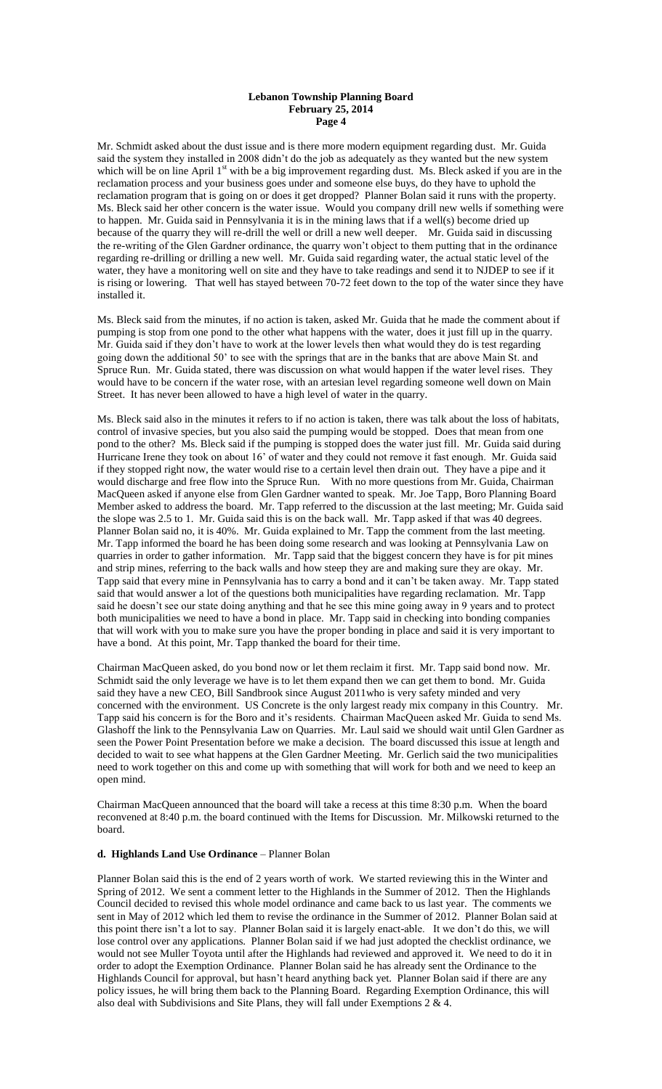Mr. Schmidt asked about the dust issue and is there more modern equipment regarding dust. Mr. Guida said the system they installed in 2008 didn't do the job as adequately as they wanted but the new system which will be on line April 1<sup>st</sup> with be a big improvement regarding dust. Ms. Bleck asked if you are in the reclamation process and your business goes under and someone else buys, do they have to uphold the reclamation program that is going on or does it get dropped? Planner Bolan said it runs with the property. Ms. Bleck said her other concern is the water issue. Would you company drill new wells if something were to happen. Mr. Guida said in Pennsylvania it is in the mining laws that if a well(s) become dried up because of the quarry they will re-drill the well or drill a new well deeper. Mr. Guida said in discussing the re-writing of the Glen Gardner ordinance, the quarry won't object to them putting that in the ordinance regarding re-drilling or drilling a new well. Mr. Guida said regarding water, the actual static level of the water, they have a monitoring well on site and they have to take readings and send it to NJDEP to see if it is rising or lowering. That well has stayed between 70-72 feet down to the top of the water since they have installed it.

Ms. Bleck said from the minutes, if no action is taken, asked Mr. Guida that he made the comment about if pumping is stop from one pond to the other what happens with the water, does it just fill up in the quarry. Mr. Guida said if they don't have to work at the lower levels then what would they do is test regarding going down the additional 50' to see with the springs that are in the banks that are above Main St. and Spruce Run. Mr. Guida stated, there was discussion on what would happen if the water level rises. They would have to be concern if the water rose, with an artesian level regarding someone well down on Main Street. It has never been allowed to have a high level of water in the quarry.

Ms. Bleck said also in the minutes it refers to if no action is taken, there was talk about the loss of habitats, control of invasive species, but you also said the pumping would be stopped. Does that mean from one pond to the other? Ms. Bleck said if the pumping is stopped does the water just fill. Mr. Guida said during Hurricane Irene they took on about 16' of water and they could not remove it fast enough. Mr. Guida said if they stopped right now, the water would rise to a certain level then drain out. They have a pipe and it would discharge and free flow into the Spruce Run. With no more questions from Mr. Guida, Chairman MacQueen asked if anyone else from Glen Gardner wanted to speak. Mr. Joe Tapp, Boro Planning Board Member asked to address the board. Mr. Tapp referred to the discussion at the last meeting; Mr. Guida said the slope was 2.5 to 1. Mr. Guida said this is on the back wall. Mr. Tapp asked if that was 40 degrees. Planner Bolan said no, it is 40%. Mr. Guida explained to Mr. Tapp the comment from the last meeting. Mr. Tapp informed the board he has been doing some research and was looking at Pennsylvania Law on quarries in order to gather information. Mr. Tapp said that the biggest concern they have is for pit mines and strip mines, referring to the back walls and how steep they are and making sure they are okay. Mr. Tapp said that every mine in Pennsylvania has to carry a bond and it can't be taken away. Mr. Tapp stated said that would answer a lot of the questions both municipalities have regarding reclamation. Mr. Tapp said he doesn't see our state doing anything and that he see this mine going away in 9 years and to protect both municipalities we need to have a bond in place. Mr. Tapp said in checking into bonding companies that will work with you to make sure you have the proper bonding in place and said it is very important to have a bond. At this point, Mr. Tapp thanked the board for their time.

Chairman MacQueen asked, do you bond now or let them reclaim it first. Mr. Tapp said bond now. Mr. Schmidt said the only leverage we have is to let them expand then we can get them to bond. Mr. Guida said they have a new CEO, Bill Sandbrook since August 2011who is very safety minded and very concerned with the environment. US Concrete is the only largest ready mix company in this Country. Mr. Tapp said his concern is for the Boro and it's residents. Chairman MacQueen asked Mr. Guida to send Ms. Glashoff the link to the Pennsylvania Law on Quarries. Mr. Laul said we should wait until Glen Gardner as seen the Power Point Presentation before we make a decision. The board discussed this issue at length and decided to wait to see what happens at the Glen Gardner Meeting. Mr. Gerlich said the two municipalities need to work together on this and come up with something that will work for both and we need to keep an open mind.

Chairman MacQueen announced that the board will take a recess at this time 8:30 p.m. When the board reconvened at 8:40 p.m. the board continued with the Items for Discussion. Mr. Milkowski returned to the board.

## **d. Highlands Land Use Ordinance** – Planner Bolan

Planner Bolan said this is the end of 2 years worth of work. We started reviewing this in the Winter and Spring of 2012. We sent a comment letter to the Highlands in the Summer of 2012. Then the Highlands Council decided to revised this whole model ordinance and came back to us last year. The comments we sent in May of 2012 which led them to revise the ordinance in the Summer of 2012. Planner Bolan said at this point there isn't a lot to say. Planner Bolan said it is largely enact-able. It we don't do this, we will lose control over any applications. Planner Bolan said if we had just adopted the checklist ordinance, we would not see Muller Toyota until after the Highlands had reviewed and approved it. We need to do it in order to adopt the Exemption Ordinance. Planner Bolan said he has already sent the Ordinance to the Highlands Council for approval, but hasn't heard anything back yet. Planner Bolan said if there are any policy issues, he will bring them back to the Planning Board. Regarding Exemption Ordinance, this will also deal with Subdivisions and Site Plans, they will fall under Exemptions 2 & 4.